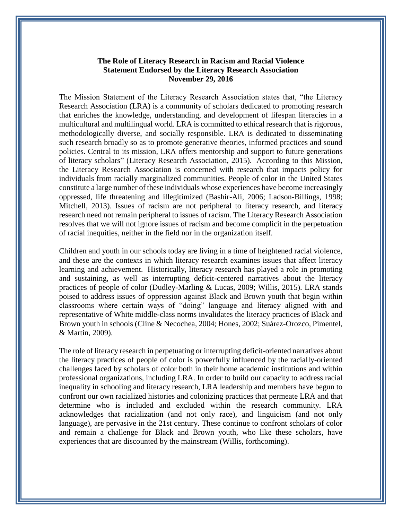## **The Role of Literacy Research in Racism and Racial Violence Statement Endorsed by the Literacy Research Association November 29, 2016**

The Mission Statement of the Literacy Research Association states that, "the Literacy Research Association (LRA) is a community of scholars dedicated to promoting research that enriches the knowledge, understanding, and development of lifespan literacies in a multicultural and multilingual world. LRA is committed to ethical research that is rigorous, methodologically diverse, and socially responsible. LRA is dedicated to disseminating such research broadly so as to promote generative theories, informed practices and sound policies. Central to its mission, LRA offers mentorship and support to future generations of literacy scholars" (Literacy Research Association, 2015). According to this Mission, the Literacy Research Association is concerned with research that impacts policy for individuals from racially marginalized communities. People of color in the United States constitute a large number of these individuals whose experiences have become increasingly oppressed, life threatening and illegitimized (Bashir-Ali, 2006; Ladson-Billings, 1998; Mitchell, 2013). Issues of racism are not peripheral to literacy research, and literacy research need not remain peripheral to issues of racism. The Literacy Research Association resolves that we will not ignore issues of racism and become complicit in the perpetuation of racial inequities, neither in the field nor in the organization itself.

Children and youth in our schools today are living in a time of heightened racial violence, and these are the contexts in which literacy research examines issues that affect literacy learning and achievement. Historically, literacy research has played a role in promoting and sustaining, as well as interrupting deficit-centered narratives about the literacy practices of people of color (Dudley-Marling & Lucas, 2009; Willis, 2015). LRA stands poised to address issues of oppression against Black and Brown youth that begin within classrooms where certain ways of "doing" language and literacy aligned with and representative of White middle-class norms invalidates the literacy practices of Black and Brown youth in schools (Cline & Necochea, 2004; Hones, 2002; Suárez-Orozco, Pimentel, & Martin, 2009).

The role of literacy research in perpetuating or interrupting deficit-oriented narratives about the literacy practices of people of color is powerfully influenced by the racially-oriented challenges faced by scholars of color both in their home academic institutions and within professional organizations, including LRA. In order to build our capacity to address racial inequality in schooling and literacy research, LRA leadership and members have begun to confront our own racialized histories and colonizing practices that permeate LRA and that determine who is included and excluded within the research community. LRA acknowledges that racialization (and not only race), and linguicism (and not only language), are pervasive in the 21st century. These continue to confront scholars of color and remain a challenge for Black and Brown youth, who like these scholars, have experiences that are discounted by the mainstream (Willis, forthcoming).